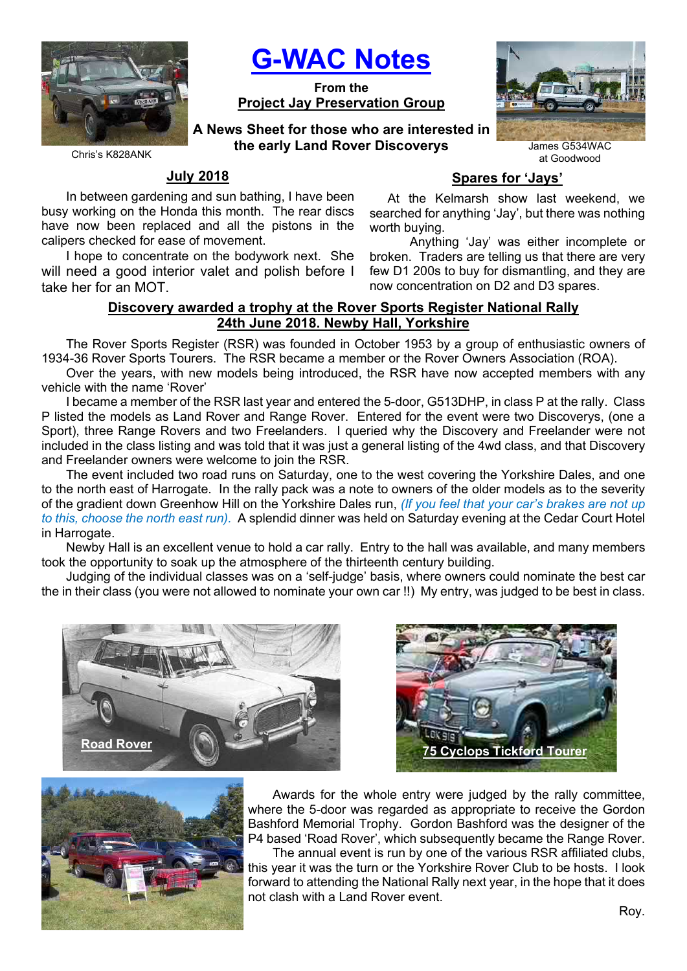

G-WAC Notes

From the Project Jay Preservation Group

A News Sheet for those who are interested in the early Land Rover Discoverys James G534WAC



Chris's K828ANK

## July 2018

In between gardening and sun bathing, I have been busy working on the Honda this month. The rear discs have now been replaced and all the pistons in the calipers checked for ease of movement.

I hope to concentrate on the bodywork next. She will need a good interior valet and polish before I take her for an MOT.

# Spares for 'Jays'

 At the Kelmarsh show last weekend, we searched for anything 'Jay', but there was nothing worth buying.

 Anything 'Jay' was either incomplete or broken. Traders are telling us that there are very few D1 200s to buy for dismantling, and they are now concentration on D2 and D3 spares.

# Discovery awarded a trophy at the Rover Sports Register National Rally 24th June 2018. Newby Hall, Yorkshire

The Rover Sports Register (RSR) was founded in October 1953 by a group of enthusiastic owners of 1934-36 Rover Sports Tourers. The RSR became a member or the Rover Owners Association (ROA).

Over the years, with new models being introduced, the RSR have now accepted members with any vehicle with the name 'Rover'

I became a member of the RSR last year and entered the 5-door, G513DHP, in class P at the rally. Class P listed the models as Land Rover and Range Rover. Entered for the event were two Discoverys, (one a Sport), three Range Rovers and two Freelanders. I queried why the Discovery and Freelander were not included in the class listing and was told that it was just a general listing of the 4wd class, and that Discovery and Freelander owners were welcome to join the RSR.

The event included two road runs on Saturday, one to the west covering the Yorkshire Dales, and one to the north east of Harrogate. In the rally pack was a note to owners of the older models as to the severity of the gradient down Greenhow Hill on the Yorkshire Dales run, *(If you feel that your car's brakes are not up* to this, choose the north east run). A splendid dinner was held on Saturday evening at the Cedar Court Hotel in Harrogate.

Newby Hall is an excellent venue to hold a car rally. Entry to the hall was available, and many members took the opportunity to soak up the atmosphere of the thirteenth century building.

Judging of the individual classes was on a 'self-judge' basis, where owners could nominate the best car the in their class (you were not allowed to nominate your own car !!) My entry, was judged to be best in class.







Awards for the whole entry were judged by the rally committee, where the 5-door was regarded as appropriate to receive the Gordon Bashford Memorial Trophy. Gordon Bashford was the designer of the P4 based 'Road Rover', which subsequently became the Range Rover.

The annual event is run by one of the various RSR affiliated clubs, this year it was the turn or the Yorkshire Rover Club to be hosts. I look forward to attending the National Rally next year, in the hope that it does not clash with a Land Rover event.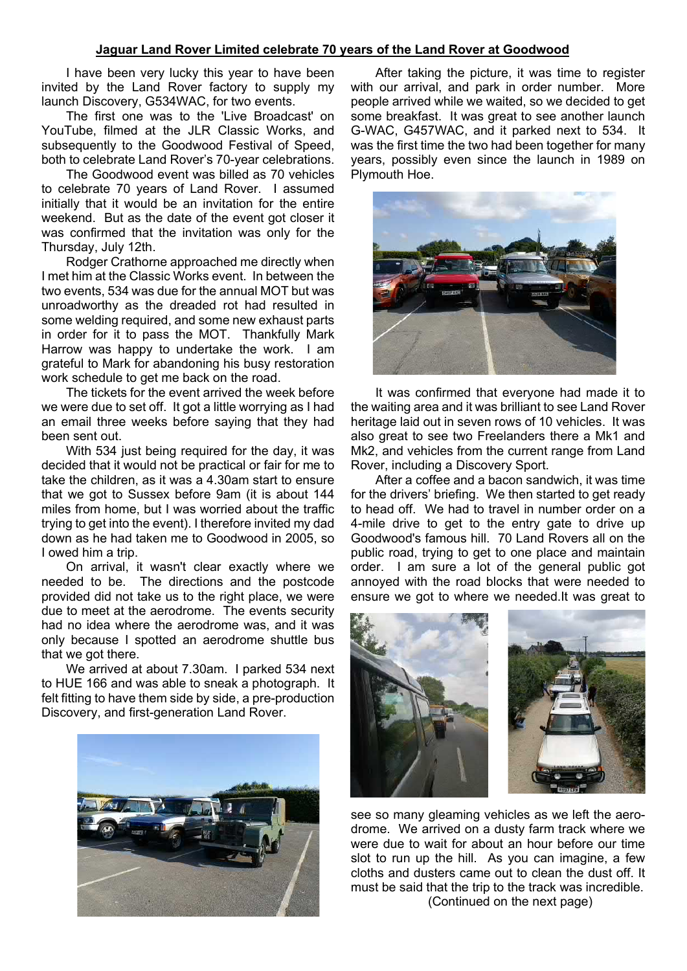### Jaguar Land Rover Limited celebrate 70 years of the Land Rover at Goodwood

I have been very lucky this year to have been invited by the Land Rover factory to supply my launch Discovery, G534WAC, for two events.

The first one was to the 'Live Broadcast' on YouTube, filmed at the JLR Classic Works, and subsequently to the Goodwood Festival of Speed, both to celebrate Land Rover's 70-year celebrations.

The Goodwood event was billed as 70 vehicles to celebrate 70 years of Land Rover. I assumed initially that it would be an invitation for the entire weekend. But as the date of the event got closer it was confirmed that the invitation was only for the Thursday, July 12th.

Rodger Crathorne approached me directly when I met him at the Classic Works event. In between the two events, 534 was due for the annual MOT but was unroadworthy as the dreaded rot had resulted in some welding required, and some new exhaust parts in order for it to pass the MOT. Thankfully Mark Harrow was happy to undertake the work. I am grateful to Mark for abandoning his busy restoration work schedule to get me back on the road.

The tickets for the event arrived the week before we were due to set off. It got a little worrying as I had an email three weeks before saying that they had been sent out.

With 534 just being required for the day, it was decided that it would not be practical or fair for me to take the children, as it was a 4.30am start to ensure that we got to Sussex before 9am (it is about 144 miles from home, but I was worried about the traffic trying to get into the event). I therefore invited my dad down as he had taken me to Goodwood in 2005, so I owed him a trip.

On arrival, it wasn't clear exactly where we needed to be. The directions and the postcode provided did not take us to the right place, we were due to meet at the aerodrome. The events security had no idea where the aerodrome was, and it was only because I spotted an aerodrome shuttle bus that we got there.

We arrived at about 7.30am. I parked 534 next to HUE 166 and was able to sneak a photograph. It felt fitting to have them side by side, a pre-production Discovery, and first-generation Land Rover.



After taking the picture, it was time to register with our arrival, and park in order number. More people arrived while we waited, so we decided to get some breakfast. It was great to see another launch G-WAC, G457WAC, and it parked next to 534. It was the first time the two had been together for many years, possibly even since the launch in 1989 on Plymouth Hoe.



It was confirmed that everyone had made it to the waiting area and it was brilliant to see Land Rover heritage laid out in seven rows of 10 vehicles. It was also great to see two Freelanders there a Mk1 and Mk2, and vehicles from the current range from Land Rover, including a Discovery Sport.

After a coffee and a bacon sandwich, it was time for the drivers' briefing. We then started to get ready to head off. We had to travel in number order on a 4-mile drive to get to the entry gate to drive up Goodwood's famous hill. 70 Land Rovers all on the public road, trying to get to one place and maintain order. I am sure a lot of the general public got annoyed with the road blocks that were needed to ensure we got to where we needed.It was great to



see so many gleaming vehicles as we left the aerodrome. We arrived on a dusty farm track where we were due to wait for about an hour before our time slot to run up the hill. As you can imagine, a few cloths and dusters came out to clean the dust off. It must be said that the trip to the track was incredible. (Continued on the next page)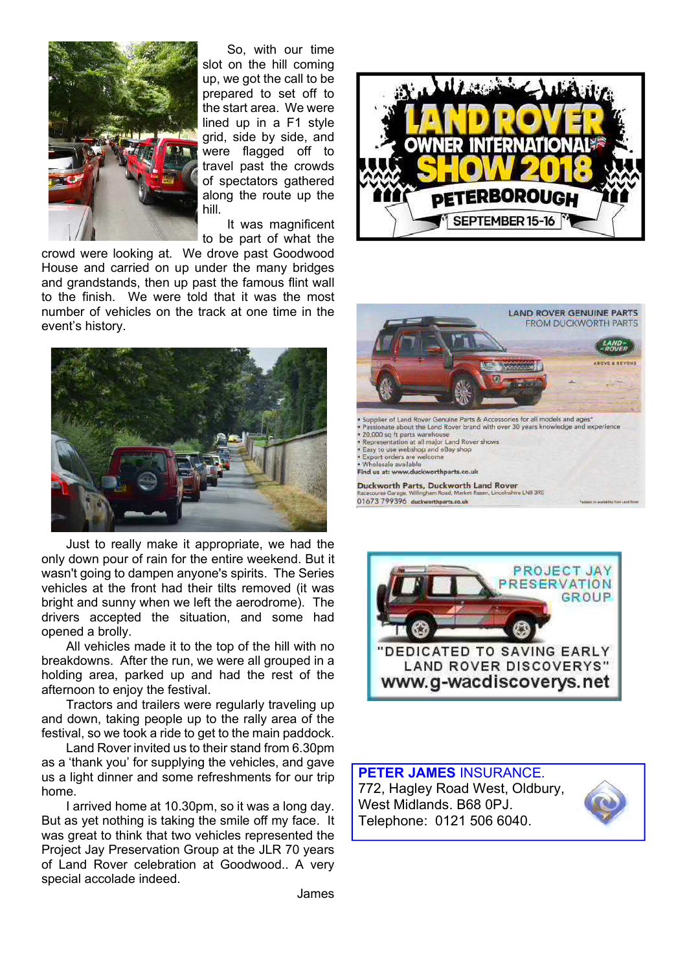

So, with our time slot on the hill coming up, we got the call to be prepared to set off to the start area. We were lined up in a F1 style grid, side by side, and were flagged off to travel past the crowds of spectators gathered along the route up the hill.

It was magnificent to be part of what the

crowd were looking at. We drove past Goodwood House and carried on up under the many bridges and grandstands, then up past the famous flint wall to the finish. We were told that it was the most number of vehicles on the track at one time in the event's history.



Just to really make it appropriate, we had the only down pour of rain for the entire weekend. But it wasn't going to dampen anyone's spirits. The Series vehicles at the front had their tilts removed (it was bright and sunny when we left the aerodrome). The drivers accepted the situation, and some had opened a brolly.

All vehicles made it to the top of the hill with no breakdowns. After the run, we were all grouped in a holding area, parked up and had the rest of the afternoon to enjoy the festival.

Tractors and trailers were regularly traveling up and down, taking people up to the rally area of the festival, so we took a ride to get to the main paddock.

Land Rover invited us to their stand from 6.30pm as a 'thank you' for supplying the vehicles, and gave us a light dinner and some refreshments for our trip home.

I arrived home at 10.30pm, so it was a long day. But as yet nothing is taking the smile off my face. It was great to think that two vehicles represented the Project Jay Preservation Group at the JLR 70 years of Land Rover celebration at Goodwood.. A very special accolade indeed.







PETER JAMES INSURANCE. 772, Hagley Road West, Oldbury, West Midlands. B68 0PJ. Telephone: 0121 506 6040.



James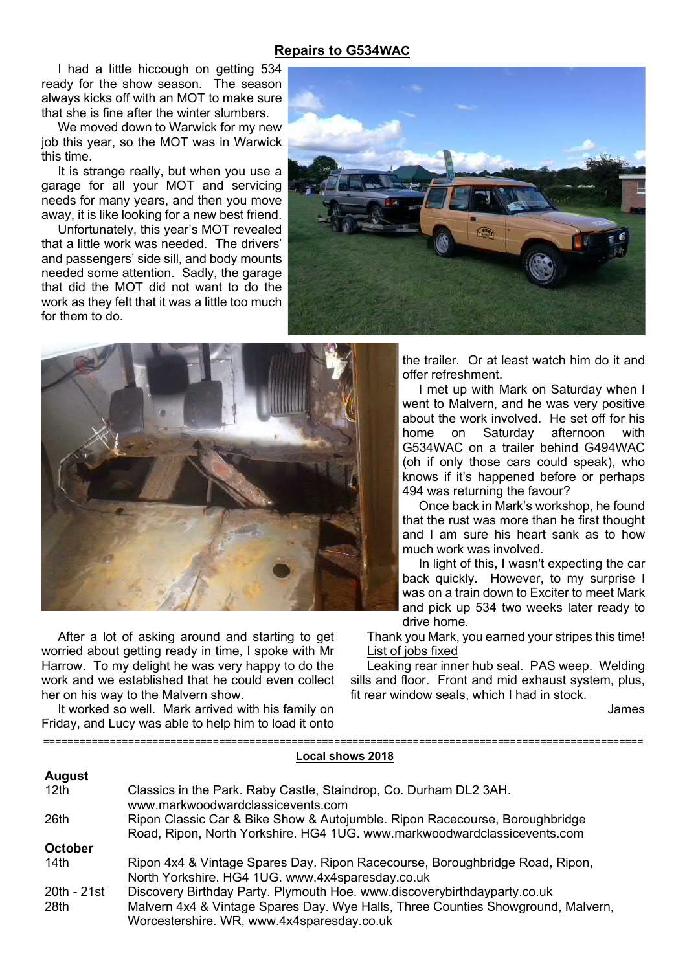## Repairs to G534WAC

I had a little hiccough on getting 534 ready for the show season. The season always kicks off with an MOT to make sure that she is fine after the winter slumbers.

We moved down to Warwick for my new job this year, so the MOT was in Warwick this time.

It is strange really, but when you use a garage for all your MOT and servicing needs for many years, and then you move away, it is like looking for a new best friend.

Unfortunately, this year's MOT revealed that a little work was needed. The drivers' and passengers' side sill, and body mounts needed some attention. Sadly, the garage that did the MOT did not want to do the work as they felt that it was a little too much for them to do.





After a lot of asking around and starting to get worried about getting ready in time, I spoke with Mr Harrow. To my delight he was very happy to do the work and we established that he could even collect her on his way to the Malvern show.

It worked so well. Mark arrived with his family on Friday, and Lucy was able to help him to load it onto

===================================================================================================

 $A = 1$ 

the trailer. Or at least watch him do it and offer refreshment.

I met up with Mark on Saturday when I went to Malvern, and he was very positive about the work involved. He set off for his home on Saturday afternoon with G534WAC on a trailer behind G494WAC (oh if only those cars could speak), who knows if it's happened before or perhaps 494 was returning the favour?

Once back in Mark's workshop, he found that the rust was more than he first thought and I am sure his heart sank as to how much work was involved.

In light of this, I wasn't expecting the car back quickly. However, to my surprise I was on a train down to Exciter to meet Mark and pick up 534 two weeks later ready to drive home.

Thank you Mark, you earned your stripes this time! List of jobs fixed

Leaking rear inner hub seal. PAS weep. Welding sills and floor. Front and mid exhaust system, plus, fit rear window seals, which I had in stock.

James

## Local shows 2018

| August           |                                                                                  |
|------------------|----------------------------------------------------------------------------------|
| 12 <sub>th</sub> | Classics in the Park. Raby Castle, Staindrop, Co. Durham DL2 3AH.                |
|                  | www.markwoodwardclassicevents.com                                                |
| 26th             | Ripon Classic Car & Bike Show & Autojumble. Ripon Racecourse, Boroughbridge      |
|                  | Road, Ripon, North Yorkshire. HG4 1UG. www.markwoodwardclassicevents.com         |
| October          |                                                                                  |
| 14th             | Ripon 4x4 & Vintage Spares Day. Ripon Racecourse, Boroughbridge Road, Ripon,     |
|                  | North Yorkshire. HG4 1UG. www.4x4sparesday.co.uk                                 |
| 20th - 21st      | Discovery Birthday Party. Plymouth Hoe. www.discoverybirthdayparty.co.uk         |
| 28th             | Malvern 4x4 & Vintage Spares Day. Wye Halls, Three Counties Showground, Malvern, |
|                  | Worcestershire. WR, www.4x4sparesday.co.uk                                       |
|                  |                                                                                  |